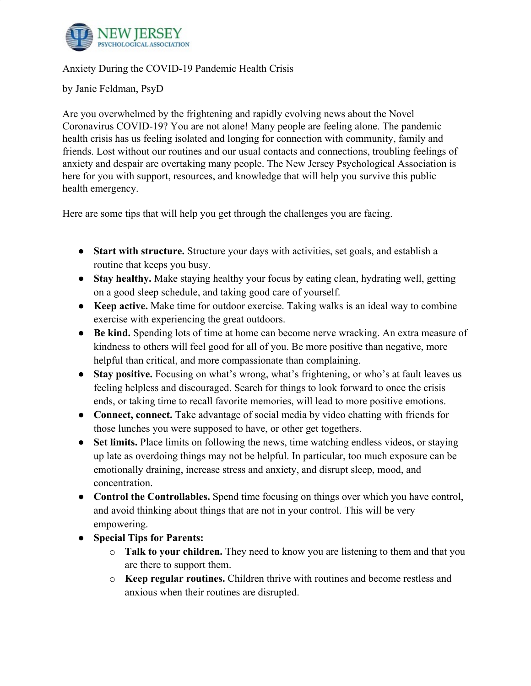

#### Anxiety During the COVID-19 Pandemic Health Crisis

by Janie Feldman, PsyD

Are you overwhelmed by the frightening and rapidly evolving news about the Novel Coronavirus COVID-19? You are not alone! Many people are feeling alone. The pandemic health crisis has us feeling isolated and longing for connection with community, family and friends. Lost without our routines and our usual contacts and connections, troubling feelings of anxiety and despair are overtaking many people. The New Jersey Psychological Association is here for you with support, resources, and knowledge that will help you survive this public health emergency.

Here are some tips that will help you get through the challenges you are facing.

- **Start with structure.** Structure your days with activities, set goals, and establish a routine that keeps you busy.
- **Stay healthy.** Make staying healthy your focus by eating clean, hydrating well, getting on a good sleep schedule, and taking good care of yourself.
- **Keep active.** Make time for outdoor exercise. Taking walks is an ideal way to combine exercise with experiencing the great outdoors.
- **Be kind.** Spending lots of time at home can become nerve wracking. An extra measure of kindness to others will feel good for all of you. Be more positive than negative, more helpful than critical, and more compassionate than complaining.
- **Stay positive.** Focusing on what's wrong, what's frightening, or who's at fault leaves us feeling helpless and discouraged. Search for things to look forward to once the crisis ends, or taking time to recall favorite memories, will lead to more positive emotions.
- **Connect, connect.** Take advantage of social media by video chatting with friends for those lunches you were supposed to have, or other get togethers.
- Set limits. Place limits on following the news, time watching endless videos, or staying up late as overdoing things may not be helpful. In particular, too much exposure can be emotionally draining, increase stress and anxiety, and disrupt sleep, mood, and concentration.
- **Control the Controllables.** Spend time focusing on things over which you have control, and avoid thinking about things that are not in your control. This will be very empowering.
- **Special Tips for Parents:**
	- o **Talk to your children.** They need to know you are listening to them and that you are there to support them.
	- o **Keep regular routines.** Children thrive with routines and become restless and anxious when their routines are disrupted.